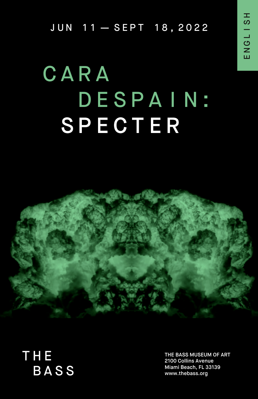ENGLISH ENGLISH

JUN 11—SEPT 18,2022

## CARA<br>DESPAIN: COLOIAIN. SPECTER



THE **BASS** 

THE BASS MUSEUM OF ART 2100 Collins Avenue Miami Beach, FL 33139 www.thebass.org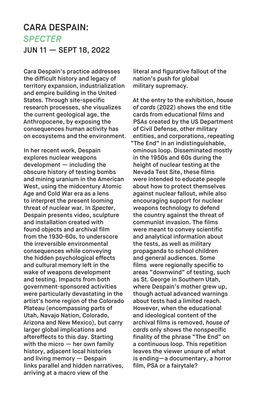## CARA DESPAIN: *SPECTER* JUN 11 — SEPT 18, 2022

Cara Despain's practice addresses the difficult history and legacy of territory expansion, industrialization and empire building in the United States. Through site-specific research processes, she visualizes the current geological age, the Anthropocene, by exposing the consequences human activity has on ecosystems and the environment.

In her recent work, Despain explores nuclear weapons development — including the obscure history of testing bombs and mining uranium in the American West, using the midcentury Atomic Age and Cold War era as a lens to interpret the present looming threat of nuclear war. In *Specter*, Despain presents video, sculpture and installation created with found objects and archival film from the 1930-60s, to underscore the irreversible environmental consequences while conveying the hidden psychological effects and cultural memory left in the wake of weapons development and testing. Impacts from both government-sponsored activities were particularly devastating in the artist's home region of the Colorado Plateau (encompassing parts of Utah, Navajo Nation, Colorado, Arizona and New Mexico), but carry larger global implications and aftereffects to this day. Starting with the micro — her own family history, adjacent local histories and living memory — Despain links parallel and hidden narratives, arriving at a macro view of the

literal and figurative fallout of the nation's push for global military supremacy.

At the entry to the exhibition, *house of cards* (2022) shows the end title cards from educational films and PSAs created by the US Department of Civil Defense, other military entities, and corporations, repeating "The End" in an indistinguishable, ominous loop. Disseminated mostly in the 1950s and 60s during the height of nuclear testing at the Nevada Test Site, these films were intended to educate people about how to protect themselves against nuclear fallout, while also encouraging support for nuclear weapons technology to defend the country against the threat of communist invasion. The films were meant to convey scientific and analytical information about the tests, as well as military propaganda to school children and general audiences. Some films were regionally specific to areas "downwind" of testing, such as St. George in Southern Utah, where Despain's mother grew up, though actual advanced warnings about tests had a limited reach. However, when the educational and ideological content of the archival films is removed, *house of cards* only shows the nonspecific finality of the phrase "The End" on a continuous loop. This repetition leaves the viewer unsure of what is ending—a documentary, a horror film, PSA or a fairytale?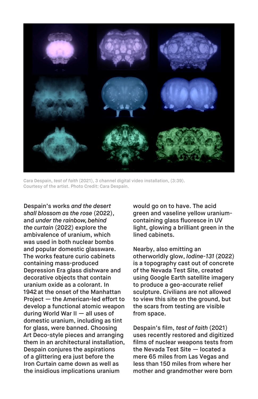

Cara Despain, *test of faith* (2021), 3 channel digital video installation, (3:39). Courtesy of the artist. Photo Credit: Cara Despain.

Despain's works *and the desert shall blossom as the rose* (2022), and *under the rainbow, behind the curtain* (2022) explore the ambivalence of uranium, which was used in both nuclear bombs and popular domestic glassware. The works feature curio cabinets containing mass-produced Depression Era glass dishware and decorative objects that contain uranium oxide as a colorant. In 1942 at the onset of the Manhattan Project — the American-led effort to develop a functional atomic weapon during World War II — all uses of domestic uranium, including as tint for glass, were banned. Choosing Art Deco-style pieces and arranging them in an architectural installation, Despain conjures the aspirations of a glittering era just before the Iron Curtain came down as well as the insidious implications uranium

would go on to have. The acid green and vaseline yellow uraniumcontaining glass fluoresce in UV light, glowing a brilliant green in the lined cabinets.

Nearby, also emitting an otherworldly glow, *Iodine-131* (2022) is a topography cast out of concrete of the Nevada Test Site, created using Google Earth satellite imagery to produce a geo-accurate relief sculpture. Civilians are not allowed to view this site on the ground, but the scars from testing are visible from space.

Despain's film, *test of faith* (2021) uses recently restored and digitized films of nuclear weapons tests from the Nevada Test Site — located a mere 65 miles from Las Vegas and less than 150 miles from where her mother and grandmother were born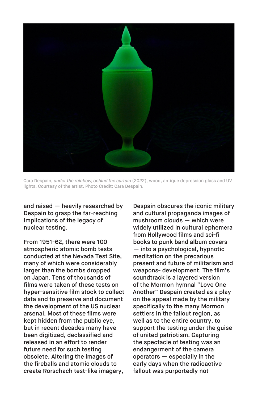

Cara Despain, *under the rainbow, behind the curtain* (2022), wood, antique depression glass and UV lights. Courtesy of the artist. Photo Credit: Cara Despain.

and raised — heavily researched by Despain to grasp the far-reaching implications of the legacy of nuclear testing.

From 1951-62, there were 100 atmospheric atomic bomb tests conducted at the Nevada Test Site, many of which were considerably larger than the bombs dropped on Japan. Tens of thousands of films were taken of these tests on hyper-sensitive film stock to collect data and to preserve and document the development of the US nuclear arsenal. Most of these films were kept hidden from the public eye, but in recent decades many have been digitized, declassified and released in an effort to render future need for such testing obsolete. Altering the images of the fireballs and atomic clouds to create Rorschach test-like imagery,

Despain obscures the iconic military and cultural propaganda images of mushroom clouds — which were widely utilized in cultural ephemera from Hollywood films and sci-fi books to punk band album covers .— into a psychological, hypnotic meditation on the precarious present and future of militarism and weapons- development. The film's soundtrack is a layered version of the Mormon hymnal "Love One Another" Despain created as a play on the appeal made by the military specifically to the many Mormon settlers in the fallout region, as well as to the entire country, to support the testing under the guise of united patriotism. Capturing the spectacle of testing was an endangerment of the camera operators — especially in the early days when the radioactive fallout was purportedly not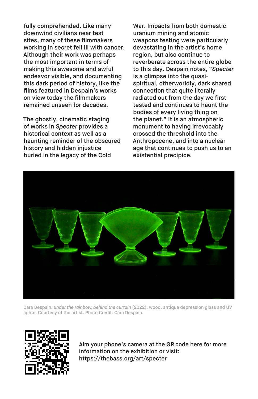fully comprehended. Like many downwind civilians near test sites, many of these filmmakers working in secret fell ill with cancer. Although their work was perhaps the most important in terms of making this awesome and awful endeavor visible, and documenting this dark period of history, like the films featured in Despain's works on view today the filmmakers remained unseen for decades.

The ghostly, cinematic staging of works in *Specter* provides a historical context as well as a haunting reminder of the obscured history and hidden injustice buried in the legacy of the Cold

War. Impacts from both domestic uranium mining and atomic weapons testing were particularly devastating in the artist's home region, but also continue to reverberate across the entire globe to this day. Despain notes, "*Specter* is a glimpse into the quasispiritual, otherworldly, dark shared connection that quite literally radiated out from the day we first tested and continues to haunt the bodies of every living thing on the planet." It is an atmospheric monument to having irrevocably crossed the threshold into the Anthropocene, and into a nuclear age that continues to push us to an existential precipice.



Cara Despain, *under the rainbow, behind the curtain* (2022), wood, antique depression glass and UV lights. Courtesy of the artist. Photo Credit: Cara Despain.



Aim your phone's camera at the QR code here for more information on the exhibition or visit: <https://thebass.org/art/specter>